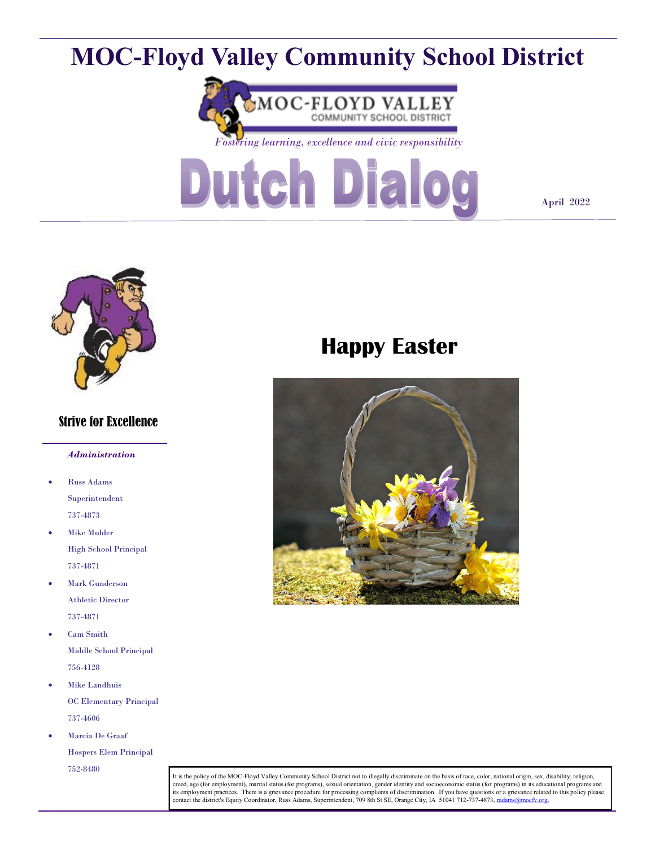# **MOC-Floyd Valley Community School District**



*Fostering learning, excellence and civic responsibility*



April 2022



#### Strive for Excellence

#### *Administration*

- Russ Adams Superintendent 737-4873
- Mike Mulder High School Principal 737-4871
- Mark Gunderson Athletic Director 737-4871
- Cam Smith Middle School Principal 756-4128
- Mike Landhuis OC Elementary Principal 737-4606
- Marcia De Graaf Hospers Elem Principal 752-8480

# **Happy Easter**



It is the policy of the MOC-Floyd Valley Community School District not to illegally discriminate on the basis of race, color, national origin, sex, disability, religion, creed, age (for employment), marital status (for programs), sexual orientation, gender identity and socioeconomic status (for programs) in its educational programs and<br>its employment practices. There is a grievance procedu contact the district's Equity Coordinator, Russ Adams, Superintendent, 709 8th St SE, Orange City, IA 51041 712-737-4873, rad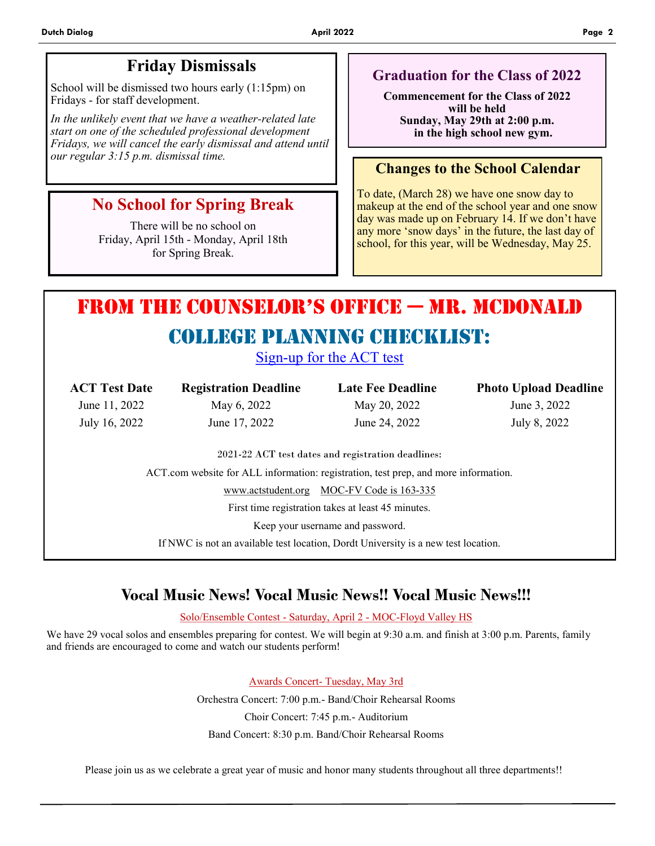# **Friday Dismissals**

School will be dismissed two hours early (1:15pm) on Fridays - for staff development.

*In the unlikely event that we have a weather-related late start on one of the scheduled professional development Fridays, we will cancel the early dismissal and attend until our regular 3:15 p.m. dismissal time.*

# **No School for Spring Break**

There will be no school on Friday, April 15th - Monday, April 18th for Spring Break.

### **Graduation for the Class of 2022**

**Commencement for the Class of 2022 will be held Sunday, May 29th at 2:00 p.m. in the high school new gym.**

#### **Changes to the School Calendar**

To date, (March 28) we have one snow day to makeup at the end of the school year and one snow day was made up on February 14. If we don't have any more 'snow days' in the future, the last day of school, for this year, will be Wednesday, May 25.

# From the Counselor's oFFiCe — Mr. McDonald

# COllege Planning Checklist:

Sign-up for the ACT test

| <b>ACT Test Date</b> | <b>Registration Deadline</b>                                                        | <b>Late Fee Deadline</b>                           | <b>Photo Upload Deadline</b> |
|----------------------|-------------------------------------------------------------------------------------|----------------------------------------------------|------------------------------|
| June 11, 2022        | May 6, 2022                                                                         | May 20, 2022                                       | June 3, 2022                 |
| July 16, 2022        | June 17, 2022                                                                       | June 24, 2022                                      | July 8, 2022                 |
|                      |                                                                                     | 2021-22 ACT test dates and registration deadlines: |                              |
|                      | ACT.com website for ALL information: registration, test prep, and more information. |                                                    |                              |
|                      |                                                                                     | www.actstudent.org MOC-FV Code is 163-335          |                              |

First time registration takes at least 45 minutes.

Keep your username and password.

If NWC is not an available test location, Dordt University is a new test location.

# **Vocal Music News! Vocal Music News!! Vocal Music News!!!**

Solo/Ensemble Contest - Saturday, April 2 - MOC-Floyd Valley HS

We have 29 vocal solos and ensembles preparing for contest. We will begin at 9:30 a.m. and finish at 3:00 p.m. Parents, family and friends are encouraged to come and watch our students perform!

> Awards Concert- Tuesday, May 3rd Orchestra Concert: 7:00 p.m.- Band/Choir Rehearsal Rooms Choir Concert: 7:45 p.m.- Auditorium Band Concert: 8:30 p.m. Band/Choir Rehearsal Rooms

Please join us as we celebrate a great year of music and honor many students throughout all three departments!!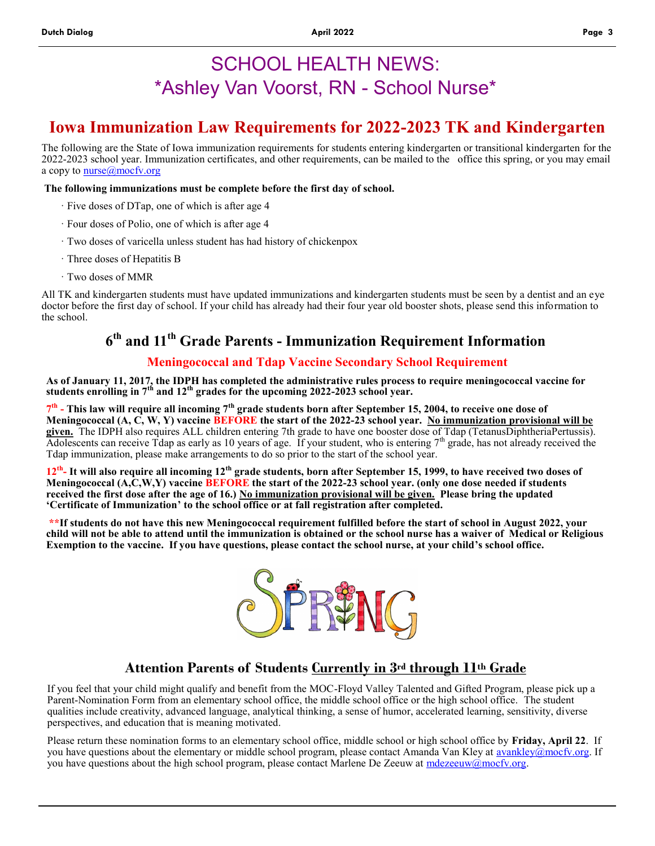# SCHOOL HEALTH NEWS: \*Ashley Van Voorst, RN - School Nurse\*

# **Iowa Immunization Law Requirements for 2022-2023 TK and Kindergarten**

The following are the State of Iowa immunization requirements for students entering kindergarten or transitional kindergarten for the 2022-2023 school year. Immunization certificates, and other requirements, can be mailed to the office this spring, or you may email a copy to **nurse**@mocfv.org

#### **The following immunizations must be complete before the first day of school.**

- · Five doses of DTap, one of which is after age 4
- · Four doses of Polio, one of which is after age 4
- · Two doses of varicella unless student has had history of chickenpox
- · Three doses of Hepatitis B
- · Two doses of MMR

All TK and kindergarten students must have updated immunizations and kindergarten students must be seen by a dentist and an eye doctor before the first day of school. If your child has already had their four year old booster shots, please send this information to the school.

## **6 th and 11th Grade Parents - Immunization Requirement Information**

#### **Meningococcal and Tdap Vaccine Secondary School Requirement**

**As of January 11, 2017, the IDPH has completed the administrative rules process to require meningococcal vaccine for students enrolling in 7th and 12th grades for the upcoming 2022-2023 school year.** 

**7 th - This law will require all incoming 7th grade students born after September 15, 2004, to receive one dose of Meningococcal (A, C, W, Y) vaccine BEFORE the start of the 2022-23 school year. No immunization provisional will be given.** The IDPH also requires ALL children entering 7th grade to have one booster dose of Tdap (TetanusDiphtheriaPertussis). Adolescents can receive Tdap as early as 10 years of age. If your student, who is entering  $7<sup>th</sup>$  grade, has not already received the Tdap immunization, please make arrangements to do so prior to the start of the school year.

**12th - It will also require all incoming 12th grade students, born after September 15, 1999, to have received two doses of Meningococcal (A,C,W,Y) vaccine BEFORE the start of the 2022-23 school year. (only one dose needed if students received the first dose after the age of 16.) No immunization provisional will be given. Please bring the updated 'Certificate of Immunization' to the school office or at fall registration after completed.** 

**\*\*If students do not have this new Meningococcal requirement fulfilled before the start of school in August 2022, your child will not be able to attend until the immunization is obtained or the school nurse has a waiver of Medical or Religious Exemption to the vaccine. If you have questions, please contact the school nurse, at your child's school office.** 



### **Attention Parents of Students Currently in 3rd through 11th Grade**

If you feel that your child might qualify and benefit from the MOC-Floyd Valley Talented and Gifted Program, please pick up a Parent-Nomination Form from an elementary school office, the middle school office or the high school office. The student qualities include creativity, advanced language, analytical thinking, a sense of humor, accelerated learning, sensitivity, diverse perspectives, and education that is meaning motivated.

Please return these nomination forms to an elementary school office, middle school or high school office by **Friday, April 22**. If you have questions about the elementary or middle school program, please contact Amanda Van Kley at [avankley@mocfv.org.](mailto:avankley@mocfv.org) If you have questions about the high school program, please contact Marlene De Zeeuw at [mdezeeuw@mocfv.org.](mailto:mdezeeuw@mocfv.org)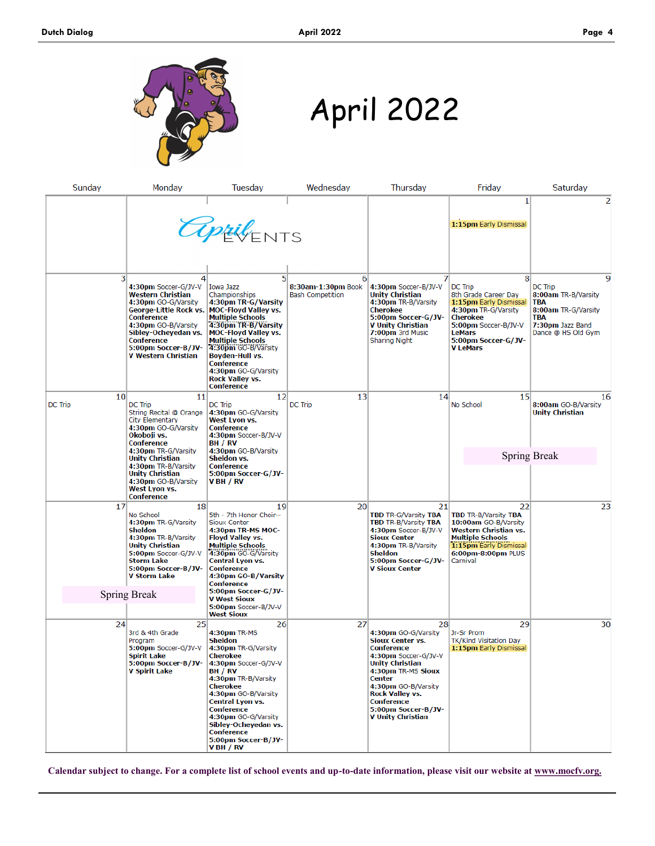

April 2022

| Sunday                     | Monday                                                                                                                                                                                                                                 | Tuesday                                                                                                                                                                                                                                                                                                                   | Wednesday                                          | Thursday                                                                                                                                                                                                                                    | Friday                                                                                                                                                                               | Saturday                                                                                                                  |
|----------------------------|----------------------------------------------------------------------------------------------------------------------------------------------------------------------------------------------------------------------------------------|---------------------------------------------------------------------------------------------------------------------------------------------------------------------------------------------------------------------------------------------------------------------------------------------------------------------------|----------------------------------------------------|---------------------------------------------------------------------------------------------------------------------------------------------------------------------------------------------------------------------------------------------|--------------------------------------------------------------------------------------------------------------------------------------------------------------------------------------|---------------------------------------------------------------------------------------------------------------------------|
|                            |                                                                                                                                                                                                                                        | <b>appil</b> ENTS                                                                                                                                                                                                                                                                                                         |                                                    |                                                                                                                                                                                                                                             | 1<br>1:15pm Early Dismissal                                                                                                                                                          | 2                                                                                                                         |
| $\overline{\mathbf{3}}$    | 4<br>4:30pm Soccer-G/JV-V<br><b>Western Christian</b><br>4:30pm GO-G/Varsity<br>George-Little Rock vs.<br>Conference<br>4:30pm GO-B/Varsity<br>Sibley-Ocheyedan vs.<br>Conference<br>5:00pm Soccer-B/JV-<br><b>V Western Christian</b> | 51<br><b>Iowa Jazz</b><br>Championships<br>4:30pm TR-G/Varsity<br><b>MOC-Floyd Valley vs.</b><br><b>Multiple Schools</b><br>4:30pm TR-B/Varsity<br><b>MOC-Floyd Valley vs.</b><br><b>Multiple Schools</b><br>4:30pm GO-B/Varsity<br>Boyden-Hull vs.<br>Conference<br>4:30pm GO-G/Varsity<br>Rock Valley vs.<br>Conference | 6<br>8:30am-1:30pm Book<br><b>Bash Competition</b> | 4:30pm Soccer-B/JV-V<br><b>Unity Christian</b><br>4:30pm TR-B/Varsity<br>Cherokee<br>5:00pm Soccer-G/JV-<br>V Unity Christian<br>7:00pm 3rd Music<br>Sharing Night                                                                          | 8<br>DC Trip<br>8th Grade Career Day<br>1:15pm Early Dismissal<br>4:30pm TR-G/Varsity<br>Cherokee<br>5:00pm Soccer-B/JV-V<br><b>LeMars</b><br>5:00pm Soccer-G/JV-<br><b>V LeMars</b> | 9<br>DC Trip<br>8:00am TR-B/Varsity<br><b>TBA</b><br>8:00am TR-G/Varsity<br>TBA<br>7:30pm Jazz Band<br>Dance @ HS Old Gym |
| 10 <sup>1</sup><br>DC Trip | 11<br>DC Trip<br>String Recital @ Orange<br>City Elementary<br>4:30pm GO-G/Varsity<br>Okoboji vs.<br><b>Conference</b>                                                                                                                 | 12<br><b>DC Trip</b><br>4:30pm GO-G/Varsity<br>West Lyon vs.<br>Conference<br>4:30pm Soccer-B/JV-V<br>BH / RV                                                                                                                                                                                                             | 13<br><b>DC Trip</b>                               | 14                                                                                                                                                                                                                                          | 15 <sup>1</sup><br>No School                                                                                                                                                         | 16<br>8:00am GO-B/Varsity<br><b>Unity Christian</b>                                                                       |
|                            | 4:30pm TR-G/Varsity<br><b>Unity Christian</b><br>4:30pm TR-B/Varsity<br>Unity Christian<br>4:30pm GO-B/Varsity<br>West Lyon vs.<br>Conference                                                                                          | 4:30pm GO-B/Varsity<br>Sheldon vs.<br>Conference<br>5:00pm Soccer-G/JV-<br>V BH / RV                                                                                                                                                                                                                                      |                                                    |                                                                                                                                                                                                                                             |                                                                                                                                                                                      | <b>Spring Break</b>                                                                                                       |
| 17                         | 18<br>No School<br>4:30pm TR-G/Varsity<br><b>Sheldon</b><br>4:30pm TR-B/Varsity<br><b>Unity Christian</b><br>5:00pm Soccer-G/JV-V<br><b>Storm Lake</b><br>5:00pm Soccer-B/JV-<br>V Storm Lake                                          | 19<br>5th - 7th Honor Choir--<br>Sioux Center<br>4:30pm TR-MS MOC-<br>Floyd Valley vs.<br><b>Multiple Schools</b><br>4:30pm GO-G/Varsity<br>Central Lyon vs.<br>Conference<br>4:30pm GO-B/Varsity<br>Conference                                                                                                           | 20 <sup>°</sup>                                    | 21<br><b>TBD TR-G/Varsity TBA</b><br><b>TBD TR-B/Varsity TBA</b><br>4:30pm Soccer-B/JV-V<br>Sioux Center<br>4:30pm TR-B/Varsity<br>Sheldon<br>5:00pm Soccer-G/JV-<br><b>V Sioux Center</b>                                                  | 22<br><b>TBD TR-B/Varsity TBA</b><br>10:00am GO-B/Varsity<br>Western Christian vs.<br><b>Multiple Schools</b><br>1:15pm Early Dismissal<br>6:00pm-8:00pm PLUS<br>Carnival            | 23                                                                                                                        |
|                            | <b>Spring Break</b>                                                                                                                                                                                                                    | 5:00pm Soccer-G/JV-<br>V West Sioux<br>5:00pm Soccer-B/JV-V<br>West Sioux                                                                                                                                                                                                                                                 |                                                    |                                                                                                                                                                                                                                             |                                                                                                                                                                                      |                                                                                                                           |
| 24                         | 25<br>3rd & 4th Grade<br>Program<br>5:00pm Soccer-G/JV-V<br><b>Spirit Lake</b><br>5:00pm Soccer-B/JV-<br><b>V Spirit Lake</b>                                                                                                          | 26<br>4:30pm TR-MS<br>Sheldon<br>4:30pm TR-G/Varsity<br>Cherokee<br>4:30pm Soccer-G/JV-V<br>BH / RV<br>4:30pm TR-B/Varsity<br>Cherokee<br>4:30pm GO-B/Varsity<br>Central Lyon vs.<br>Conference<br>4:30pm GO-G/Varsity<br>Sibley-Ocheyedan vs.<br>Conference<br>5:00pm Soccer-B/JV-<br>V BH / RV                          | 27                                                 | 281<br>4:30pm GO-G/Varsity<br>Sioux Center vs.<br>Conference<br>4:30pm Soccer-G/JV-V<br>Unity Christian<br>4:30pm TR-MS Sioux<br>Center<br>4:30pm GO-B/Varsity<br>Rock Valley vs.<br>Conference<br>5:00pm Soccer-B/JV-<br>V Unity Christian | 29<br>Jr-Sr Prom<br>TK/Kind Visitation Day<br>1:15pm Early Dismissal                                                                                                                 | 30                                                                                                                        |

**Calendar subject to change. For a complete list of school events and up-to-date information, please visit our website at www.mocfv.org.**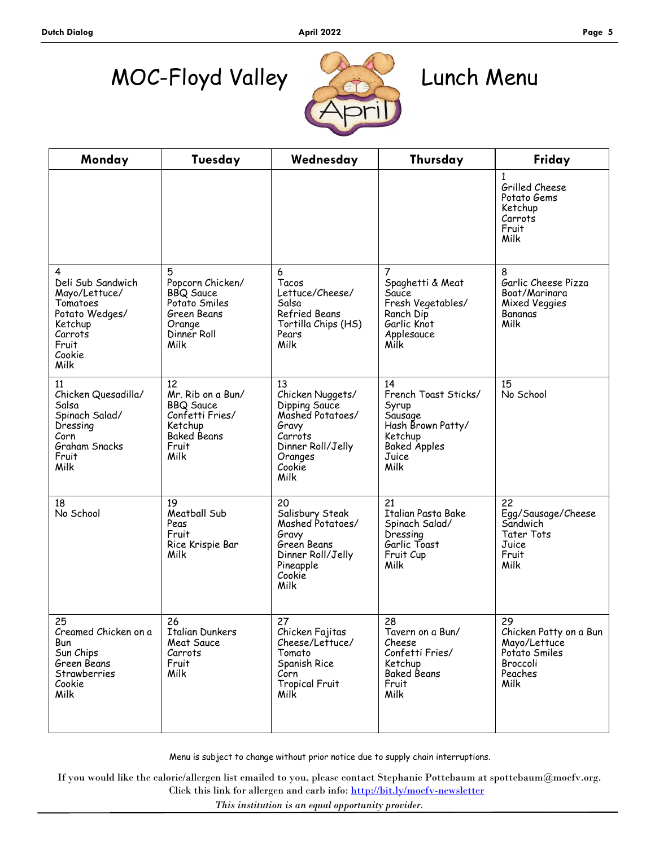# MOC-Floyd Valley Lunch Menu



| Monday                                                                                                                 | Tuesday                                                                                                          | Wednesday                                                                                                                         | Thursday                                                                                                               | Friday                                                                                              |
|------------------------------------------------------------------------------------------------------------------------|------------------------------------------------------------------------------------------------------------------|-----------------------------------------------------------------------------------------------------------------------------------|------------------------------------------------------------------------------------------------------------------------|-----------------------------------------------------------------------------------------------------|
|                                                                                                                        |                                                                                                                  |                                                                                                                                   |                                                                                                                        | 1<br>Grilled Cheese<br>Potato Gems<br>Ketchup<br>Carrots<br>Fruit<br>Milk                           |
| 4<br>Deli Sub Sandwich<br>Mayo/Lettuce/<br>Tomatoes<br>Potato Wedges/<br>Ketchup<br>Carrots<br>Fruit<br>Cookie<br>Milk | 5<br>Popcorn Chicken/<br><b>BBQ</b> Sauce<br>Potato Smiles<br>Green Beans<br>Orange<br>Dinner Roll<br>Milk       | 6<br>Tacos<br>Lettuce/Cheese/<br>Salsa<br>Refried Beans<br>Tortilla Chips (HS)<br>Pears<br>Milk                                   | 7<br>Spaghetti & Meat<br>Sauce<br>Fresh Vegetables/<br>Ranch Dip<br>Garlic Knot<br>Applesauce<br>Milk                  | 8<br>Garlic Cheese Pizza<br>Boat/Marinara<br><b>Mixed Veggies</b><br>Bananas<br>Milk                |
| 11<br>Chicken Quesadilla/<br>Salsa<br>Spinach Salad/<br>Dressing<br>Corn<br>Graham Snacks<br>Fruit<br>Milk             | 12<br>Mr. Rib on a Bun/<br><b>BBQ Sauce</b><br>Confetti Fries/<br>Ketchup<br><b>Baked Beans</b><br>Fruit<br>Milk | 13<br>Chicken Nuggets/<br>Dipping Sauce<br>Mashed Potatoes/<br>Gravy<br>Carrots<br>Dinner Roll/Jelly<br>Oranges<br>Cookie<br>Milk | 14<br>French Toast Sticks/<br>Syrup<br>Sausage<br>Hash Brown Patty/<br>Ketchup<br><b>Baked Apples</b><br>Juice<br>Milk | 15<br>No School                                                                                     |
| 18<br>No School                                                                                                        | 19<br>Meatball Sub<br>Peas<br>Fruit<br>Rice Krispie Bar<br>Milk                                                  | 20<br>Salisbury Steak<br>Mashed Potatoes/<br>Gravy<br>Green Beans<br>Dinner Roll/Jelly<br>Pineapple<br>Cookie<br>Milk             | 21<br>Italian Pasta Bake<br>Spinach Salad/<br>Dressing<br>Garlic Toast<br>Fruit Cup<br>Milk                            | 22<br>Egg/Sausage/Cheese<br>Sandwich<br><b>Tater Tots</b><br>Juice<br>Fruit<br>Milk                 |
| 25<br>Creamed Chicken on a<br>Bun<br>Sun Chips<br>Green Beans<br>Strawberries<br>Cookie<br>Milk                        | 26<br>Italian Dunkers<br>Meat Sauce<br>Carrots<br>Fruit<br>Milk                                                  | 27<br>Chicken Fajitas<br>Cheese/Lettuce/<br>Tomato<br>Spanish Rice<br>Corn<br><b>Tropical Fruit</b><br>Milk                       | 28<br>Tavern on a Bun/<br>Cheese<br>Confetti Fries/<br>Ketchup<br><b>Baked Beans</b><br>Fruit<br>Milk                  | 29<br>Chicken Patty on a Bun<br>Mayo/Lettuce<br>Potato Smiles<br><b>Broccoli</b><br>Peaches<br>Milk |

Menu is subject to change without prior notice due to supply chain interruptions.

Click this link for allergen and carb info: <http://bit.ly/mocfv-newsletter> If you would like the calorie/allergen list emailed to you, please contact Stephanie Pottebaum at spottebaum@mocfv.org.

*This institution is an equal opportunity provider.*